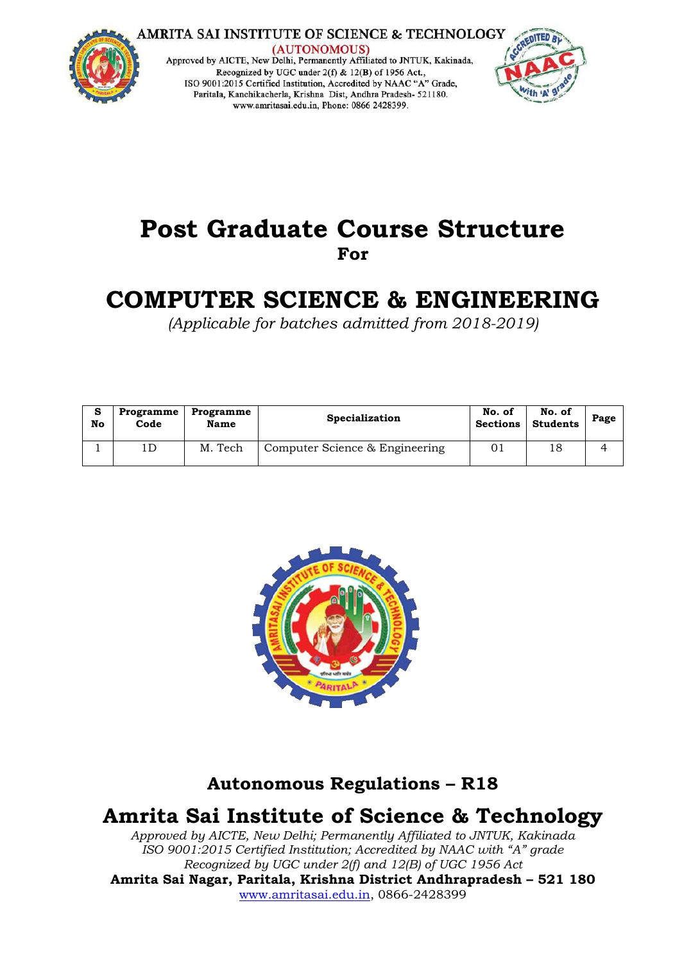

**AMRITA SAI INSTITUTE OF SCIENCE & TECHNOLOGY** 

(AUTONOMOUS) Approved by AICTE, New Delhi, Permanently Affiliated to JNTUK, Kakinada, Recognized by UGC under 2(f) & 12(B) of 1956 Act.,<br>ISO 9001:2015 Certified Institution, Accredited by NAAC "A" Grade, Paritala, Kanchikacherla, Krishna Dist, Andhra Pradesh- 521180. www.amritasai.edu.in, Phone: 0866 2428399.



# **Post Graduate Course Structure For**

# **COMPUTER SCIENCE & ENGINEERING**

*(Applicable for batches admitted from 2018-2019)*

| s<br>No | Programme<br>Code | Programme<br>Name | Specialization                 | No. of<br><b>Sections</b> | No. of<br><b>Students</b> | Page |
|---------|-------------------|-------------------|--------------------------------|---------------------------|---------------------------|------|
|         |                   | M. Tech           | Computer Science & Engineering |                           | 18                        |      |



# **Autonomous Regulations – R18**

# **Amrita Sai Institute of Science & Technology**

*Approved by AICTE, New Delhi; Permanently Affiliated to JNTUK, Kakinada ISO 9001:2015 Certified Institution; Accredited by NAAC with "A" grade Recognized by UGC under 2(f) and 12(B) of UGC 1956 Act* **Amrita Sai Nagar, Paritala, Krishna District Andhrapradesh – 521 180** [www.amritasai.edu.in,](http://www.amritasai.edu.in/) 0866-2428399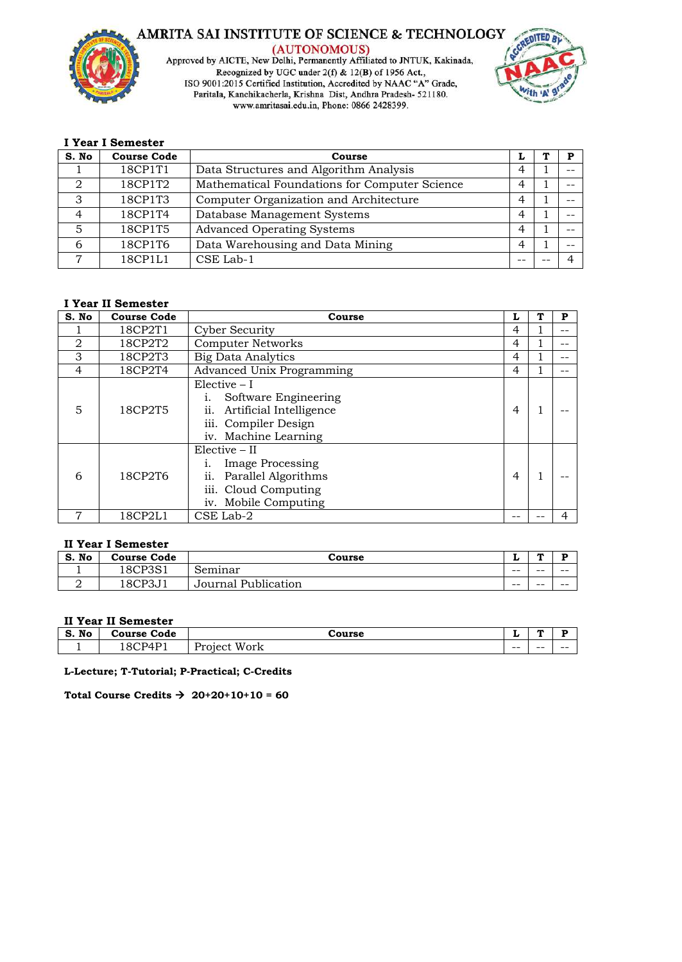

AMRITA SAI INSTITUTE OF SCIENCE & TECHNOLOGY (AUTONOMOUS)<br>Approved by AICTE, New Delhi, Permanently Affiliated to JNTUK, Kakinada, Recognized by UGC under 2(f) & 12(B) of 1956 Act.,<br>ISO 9001:2015 Certified Institution, Accredited by NAAC "A" Grade, Paritala, Kanchikacherla, Krishna Dist, Andhra Pradesh- 521180. www.amritasai.edu.in, Phone: 0866 2428399.



#### **I Year I Semester**

| S. No | <b>Course Code</b> | Course                                        | ı |  |
|-------|--------------------|-----------------------------------------------|---|--|
|       | 18CP1T1            | Data Structures and Algorithm Analysis        | 4 |  |
| 2     | 18CP1T2            | Mathematical Foundations for Computer Science | 4 |  |
| 3     | 18CP1T3            | Computer Organization and Architecture        | 4 |  |
| 4     | 18CP1T4            | Database Management Systems                   | 4 |  |
|       | 18CP1T5            | <b>Advanced Operating Systems</b>             | 4 |  |
| 6     | 18CP1T6            | Data Warehousing and Data Mining              | 4 |  |
|       | 18CP1L1            | CSE Lab-1                                     |   |  |

#### **I Year II Semester**

| S. No | <b>Course Code</b> | Course                                                                                                                   | L | P |
|-------|--------------------|--------------------------------------------------------------------------------------------------------------------------|---|---|
|       | 18CP2T1            | <b>Cyber Security</b>                                                                                                    | 4 |   |
| 2     | 18CP2T2            | <b>Computer Networks</b>                                                                                                 | 4 |   |
| 3     | 18CP2T3            | <b>Big Data Analytics</b>                                                                                                | 4 |   |
| 4     | 18CP2T4            | Advanced Unix Programming                                                                                                | 4 |   |
| 5     | 18CP2T5            | $Electric - I$<br>Software Engineering<br>Artificial Intelligence<br>11.<br>iii. Compiler Design<br>iv. Machine Learning | 4 |   |
| 6     | 18CP2T6            | Elective - II<br>Image Processing<br>ii.<br>Parallel Algorithms<br>iii. Cloud Computing<br>iv. Mobile Computing          | 4 |   |
|       | 18CP2L1            | CSE Lab-2                                                                                                                |   | 4 |

#### **II Year I Semester**

| No<br>S. | <b>Course Code</b>           | Course                 | ≖     | æ  | в     |
|----------|------------------------------|------------------------|-------|----|-------|
| <b>.</b> | 18CP3S <sup>1</sup><br>⊥ טרי | Seminar                | $- -$ | -- | $- -$ |
| ∼        | 8CP3                         | Publication<br>Journal | $- -$ | -- | $- -$ |

#### **II Year II Semester**

| No<br>S. | Code<br>Course (      | `ourse                        | -     | л     |       |  |  |  |  |
|----------|-----------------------|-------------------------------|-------|-------|-------|--|--|--|--|
| -        | $\sim$<br>RCP4<br>. . | <b>TTT</b><br>Work<br>Project | $- -$ | $- -$ | $- -$ |  |  |  |  |

**L-Lecture; T-Tutorial; P-Practical; C-Credits** 

Total Course Credits  $\rightarrow 20+20+10+10 = 60$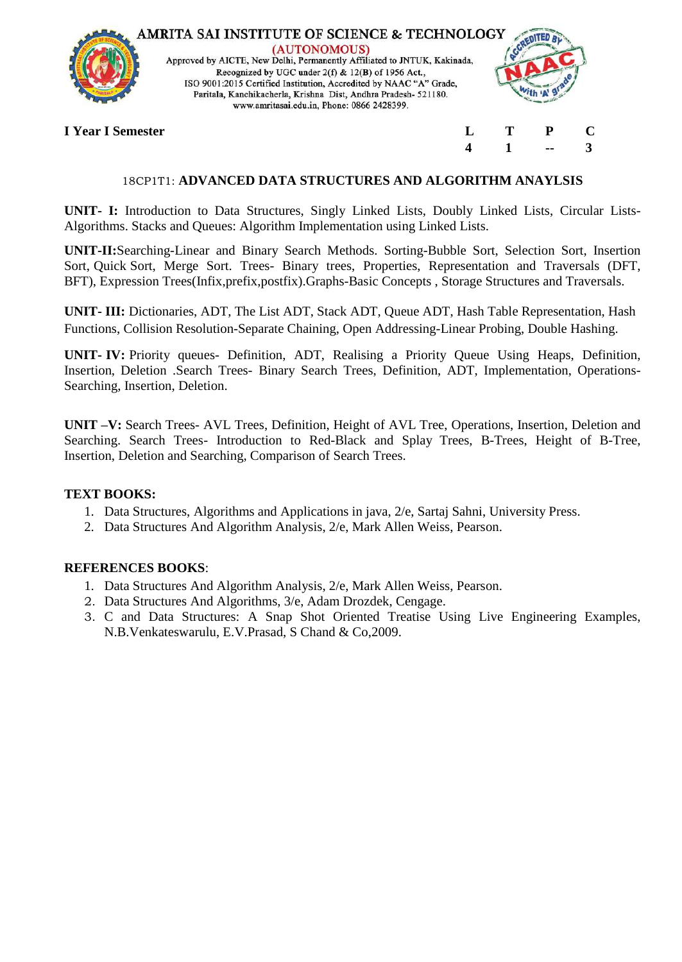

(AUTONOMOUS) Approved by AICTE, New Delhi, Permanently Affiliated to JNTUK, Kakinada, Recognized by UGC under 2(f) & 12(B) of 1956 Act., ISO 9001:2015 Certified Institution, Accredited by NAAC "A" Grade, Paritala, Kanchikacherla, Krishna Dist, Andhra Pradesh- 521180. www.amritasai.edu.in, Phone: 0866 2428399.



**4 1 -- 3**

**I Year I Semester L T P C**

# 18CP1T1: **ADVANCED DATA STRUCTURES AND ALGORITHM ANAYLSIS**

**UNIT- I:** Introduction to Data Structures, Singly Linked Lists, Doubly Linked Lists, Circular Lists-Algorithms. Stacks and Queues: Algorithm Implementation using Linked Lists.

**UNIT-II:**Searching-Linear and Binary Search Methods. Sorting-Bubble Sort, Selection Sort, Insertion Sort, Quick Sort, Merge Sort. Trees- Binary trees, Properties, Representation and Traversals (DFT, BFT), Expression Trees(Infix,prefix,postfix).Graphs-Basic Concepts , Storage Structures and Traversals.

**UNIT- III:** Dictionaries, ADT, The List ADT, Stack ADT, Queue ADT, Hash Table Representation, Hash Functions, Collision Resolution-Separate Chaining, Open Addressing-Linear Probing, Double Hashing.

**UNIT- IV:** Priority queues- Definition, ADT, Realising a Priority Queue Using Heaps, Definition, Insertion, Deletion .Search Trees- Binary Search Trees, Definition, ADT, Implementation, Operations-Searching, Insertion, Deletion.

**UNIT –V:** Search Trees- AVL Trees, Definition, Height of AVL Tree, Operations, Insertion, Deletion and Searching. Search Trees- Introduction to Red-Black and Splay Trees, B-Trees, Height of B-Tree, Insertion, Deletion and Searching, Comparison of Search Trees.

# **TEXT BOOKS:**

- 1. Data Structures, Algorithms and Applications in java, 2/e, Sartaj Sahni, University Press.
- 2. Data Structures And Algorithm Analysis, 2/e, Mark Allen Weiss, Pearson.

- 1. Data Structures And Algorithm Analysis, 2/e, Mark Allen Weiss, Pearson.
- 2. Data Structures And Algorithms, 3/e, Adam Drozdek, Cengage.
- 3. C and Data Structures: A Snap Shot Oriented Treatise Using Live Engineering Examples, N.B.Venkateswarulu, E.V.Prasad, S Chand & Co,2009.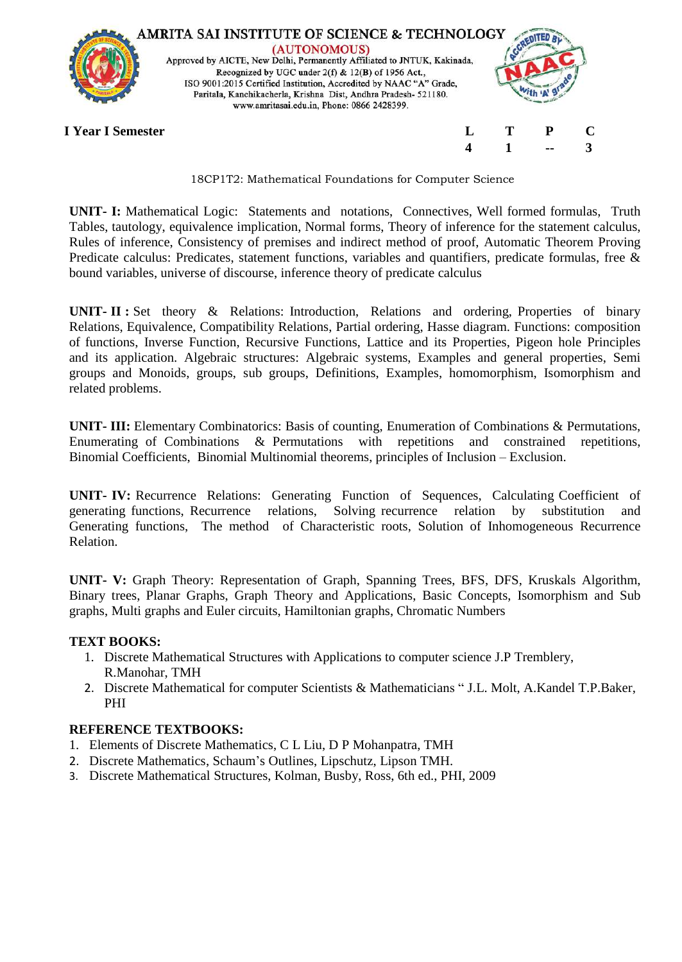

18CP1T2: Mathematical Foundations for Computer Science

**UNIT- I:** Mathematical Logic: Statements and notations, Connectives, Well formed formulas, Truth Tables, tautology, equivalence implication, Normal forms, Theory of inference for the statement calculus, Rules of inference, Consistency of premises and indirect method of proof, Automatic Theorem Proving Predicate calculus: Predicates, statement functions, variables and quantifiers, predicate formulas, free & bound variables, universe of discourse, inference theory of predicate calculus

**UNIT- II :** Set theory & Relations: Introduction, Relations and ordering, Properties of binary Relations, Equivalence, Compatibility Relations, Partial ordering, Hasse diagram. Functions: composition of functions, Inverse Function, Recursive Functions, Lattice and its Properties, Pigeon hole Principles and its application. Algebraic structures: Algebraic systems, Examples and general properties, Semi groups and Monoids, groups, sub groups, Definitions, Examples, homomorphism, Isomorphism and related problems.

**UNIT- III:** Elementary Combinatorics: Basis of counting, Enumeration of Combinations & Permutations, Enumerating of Combinations & Permutations with repetitions and constrained repetitions, Binomial Coefficients, Binomial Multinomial theorems, principles of Inclusion – Exclusion.

**UNIT- IV:** Recurrence Relations: Generating Function of Sequences, Calculating Coefficient of generating functions, Recurrence relations, Solving recurrence relation by substitution and Generating functions, The method of Characteristic roots, Solution of Inhomogeneous Recurrence Relation.

**UNIT- V:** Graph Theory: Representation of Graph, Spanning Trees, BFS, DFS, Kruskals Algorithm, Binary trees, Planar Graphs, Graph Theory and Applications, Basic Concepts, Isomorphism and Sub graphs, Multi graphs and Euler circuits, Hamiltonian graphs, Chromatic Numbers

# **TEXT BOOKS:**

- 1. Discrete Mathematical Structures with Applications to computer science J.P Tremblery, R.Manohar, TMH
- 2. Discrete Mathematical for computer Scientists & Mathematicians " J.L. Molt, A.Kandel T.P.Baker, PHI

# **REFERENCE TEXTBOOKS:**

- 1. Elements of Discrete Mathematics, C L Liu, D P Mohanpatra, TMH
- 2. Discrete Mathematics, Schaum's Outlines, Lipschutz, Lipson TMH.
- 3. Discrete Mathematical Structures, Kolman, Busby, Ross, 6th ed., PHI, 2009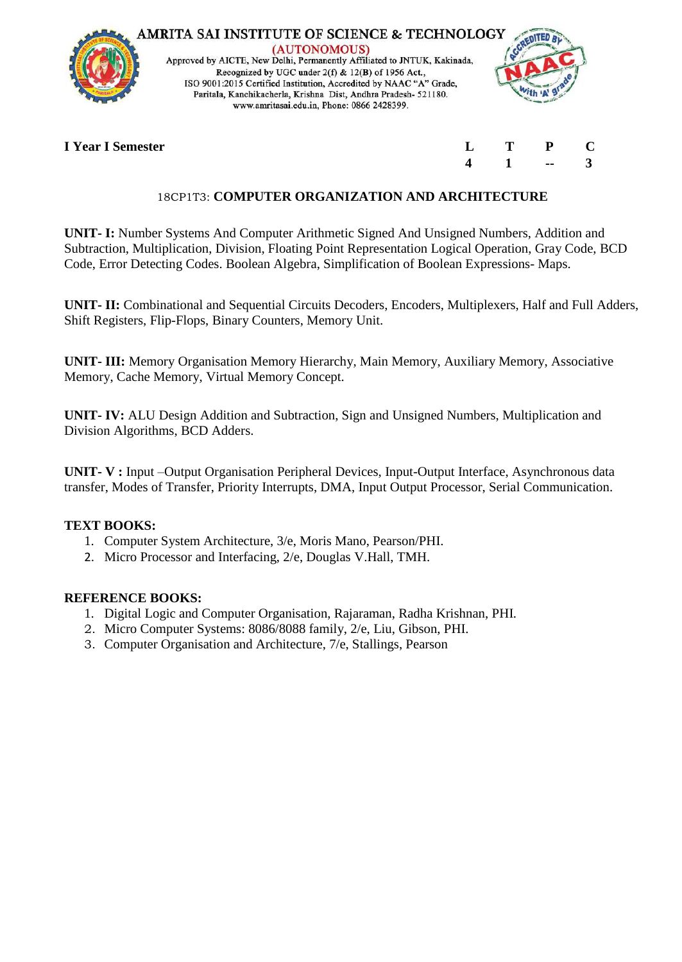

# **I** Year **I** Semester

| $\mathbf{L}$            | т | P  | $\mathbf C$ |
|-------------------------|---|----|-------------|
| $\overline{\mathbf{4}}$ |   | -- | 3           |

# 18CP1T3: **COMPUTER ORGANIZATION AND ARCHITECTURE**

**UNIT- I:** Number Systems And Computer Arithmetic Signed And Unsigned Numbers, Addition and Subtraction, Multiplication, Division, Floating Point Representation Logical Operation, Gray Code, BCD Code, Error Detecting Codes. Boolean Algebra, Simplification of Boolean Expressions- Maps.

**UNIT- II:** Combinational and Sequential Circuits Decoders, Encoders, Multiplexers, Half and Full Adders, Shift Registers, Flip-Flops, Binary Counters, Memory Unit.

**UNIT- III:** Memory Organisation Memory Hierarchy, Main Memory, Auxiliary Memory, Associative Memory, Cache Memory, Virtual Memory Concept.

**UNIT- IV:** ALU Design Addition and Subtraction, Sign and Unsigned Numbers, Multiplication and Division Algorithms, BCD Adders.

**UNIT- V :** Input –Output Organisation Peripheral Devices, Input-Output Interface, Asynchronous data transfer, Modes of Transfer, Priority Interrupts, DMA, Input Output Processor, Serial Communication.

# **TEXT BOOKS:**

- 1. Computer System Architecture, 3/e, Moris Mano, Pearson/PHI.
- 2. Micro Processor and Interfacing, 2/e, Douglas V.Hall, TMH.

- 1. Digital Logic and Computer Organisation, Rajaraman, Radha Krishnan, PHI.
- 2. Micro Computer Systems: 8086/8088 family, 2/e, Liu, Gibson, PHI.
- 3. Computer Organisation and Architecture, 7/e, Stallings, Pearson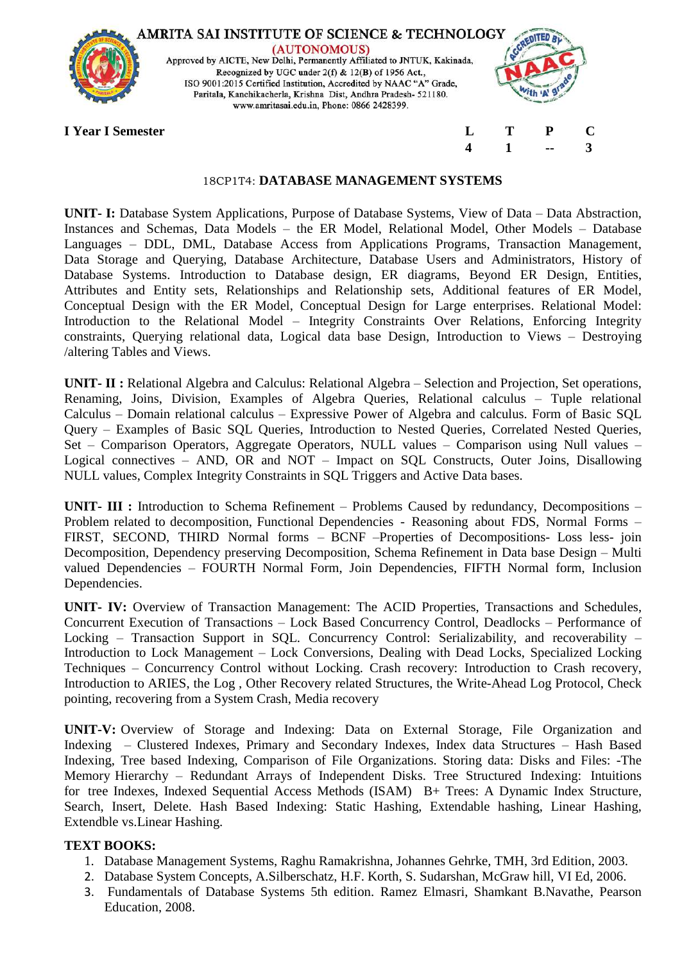

#### 18CP1T4: **DATABASE MANAGEMENT SYSTEMS**

**UNIT- I:** Database System Applications, Purpose of Database Systems, View of Data – Data Abstraction, Instances and Schemas, Data Models – the ER Model, Relational Model, Other Models – Database Languages – DDL, DML, Database Access from Applications Programs, Transaction Management, Data Storage and Querying, Database Architecture, Database Users and Administrators, History of Database Systems. Introduction to Database design, ER diagrams, Beyond ER Design, Entities, Attributes and Entity sets, Relationships and Relationship sets, Additional features of ER Model, Conceptual Design with the ER Model, Conceptual Design for Large enterprises. Relational Model: Introduction to the Relational Model – Integrity Constraints Over Relations, Enforcing Integrity constraints, Querying relational data, Logical data base Design, Introduction to Views – Destroying /altering Tables and Views.

**UNIT- II :** Relational Algebra and Calculus: Relational Algebra – Selection and Projection, Set operations, Renaming, Joins, Division, Examples of Algebra Queries, Relational calculus – Tuple relational Calculus – Domain relational calculus – Expressive Power of Algebra and calculus. Form of Basic SQL Query – Examples of Basic SQL Queries, Introduction to Nested Queries, Correlated Nested Queries, Set – Comparison Operators, Aggregate Operators, NULL values – Comparison using Null values – Logical connectives – AND, OR and NOT – Impact on SQL Constructs, Outer Joins, Disallowing NULL values, Complex Integrity Constraints in SQL Triggers and Active Data bases.

**UNIT- III :** Introduction to Schema Refinement – Problems Caused by redundancy, Decompositions – Problem related to decomposition, Functional Dependencies - Reasoning about FDS, Normal Forms – FIRST, SECOND, THIRD Normal forms – BCNF –Properties of Decompositions- Loss less- join Decomposition, Dependency preserving Decomposition, Schema Refinement in Data base Design – Multi valued Dependencies – FOURTH Normal Form, Join Dependencies, FIFTH Normal form, Inclusion Dependencies.

**UNIT- IV:** Overview of Transaction Management: The ACID Properties, Transactions and Schedules, Concurrent Execution of Transactions – Lock Based Concurrency Control, Deadlocks – Performance of Locking – Transaction Support in SQL. Concurrency Control: Serializability, and recoverability – Introduction to Lock Management – Lock Conversions, Dealing with Dead Locks, Specialized Locking Techniques – Concurrency Control without Locking. Crash recovery: Introduction to Crash recovery, Introduction to ARIES, the Log , Other Recovery related Structures, the Write-Ahead Log Protocol, Check pointing, recovering from a System Crash, Media recovery

**UNIT-V:** Overview of Storage and Indexing: Data on External Storage, File Organization and Indexing – Clustered Indexes, Primary and Secondary Indexes, Index data Structures – Hash Based Indexing, Tree based Indexing, Comparison of File Organizations. Storing data: Disks and Files: -The Memory Hierarchy – Redundant Arrays of Independent Disks. Tree Structured Indexing: Intuitions for tree Indexes, Indexed Sequential Access Methods (ISAM) B+ Trees: A Dynamic Index Structure, Search, Insert, Delete. Hash Based Indexing: Static Hashing, Extendable hashing, Linear Hashing, Extendble vs.Linear Hashing.

# **TEXT BOOKS:**

- 1. Database Management Systems, Raghu Ramakrishna, Johannes Gehrke, TMH, 3rd Edition, 2003.
- 2. Database System Concepts, A.Silberschatz, H.F. Korth, S. Sudarshan, McGraw hill, VI Ed, 2006.
- 3. Fundamentals of Database Systems 5th edition. Ramez Elmasri, Shamkant B.Navathe, Pearson Education, 2008.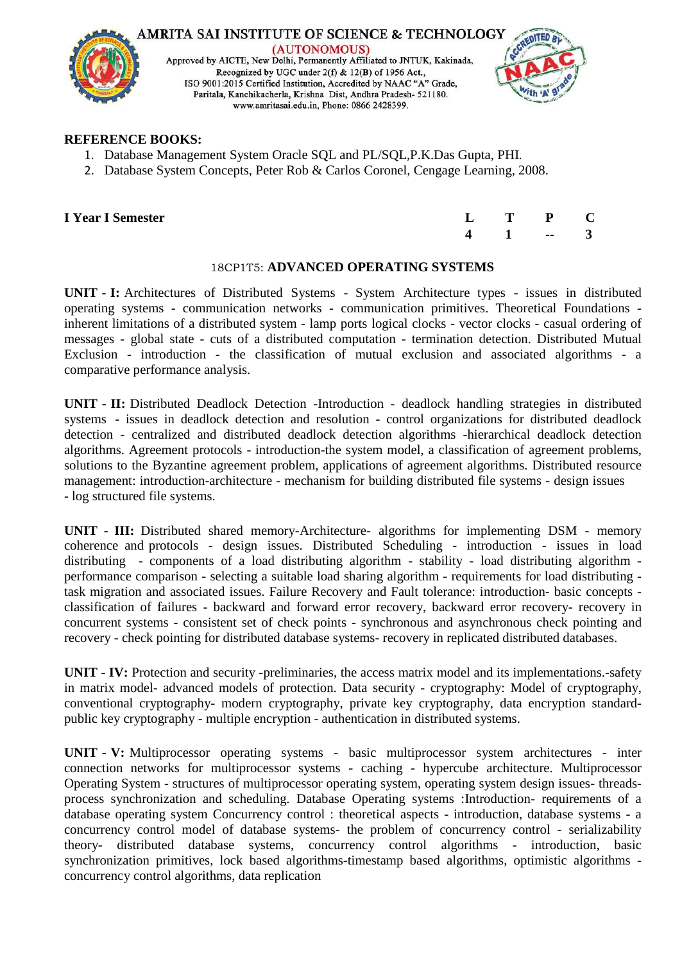

### **REFERENCE BOOKS:**

- 1. Database Management System Oracle SQL and PL/SQL,P.K.Das Gupta, PHI.
- 2. Database System Concepts, Peter Rob & Carlos Coronel, Cengage Learning, 2008.

|  |  |  | <b>I Year I Semester</b> |
|--|--|--|--------------------------|
|--|--|--|--------------------------|

| <b>I Year I Semester</b> |  | $L$ T P C            |  |
|--------------------------|--|----------------------|--|
|                          |  | $4 \quad 1 \quad -3$ |  |

# 18CP1T5: **ADVANCED OPERATING SYSTEMS**

**UNIT - I:** Architectures of Distributed Systems - System Architecture types - issues in distributed operating systems - communication networks - communication primitives. Theoretical Foundations inherent limitations of a distributed system - lamp ports logical clocks - vector clocks - casual ordering of messages - global state - cuts of a distributed computation - termination detection. Distributed Mutual Exclusion - introduction - the classification of mutual exclusion and associated algorithms - a comparative performance analysis.

**UNIT - II:** Distributed Deadlock Detection -Introduction - deadlock handling strategies in distributed systems - issues in deadlock detection and resolution - control organizations for distributed deadlock detection - centralized and distributed deadlock detection algorithms -hierarchical deadlock detection algorithms. Agreement protocols - introduction-the system model, a classification of agreement problems, solutions to the Byzantine agreement problem, applications of agreement algorithms. Distributed resource management: introduction-architecture - mechanism for building distributed file systems - design issues - log structured file systems.

**UNIT - III:** Distributed shared memory-Architecture- algorithms for implementing DSM - memory coherence and protocols - design issues. Distributed Scheduling - introduction - issues in load distributing - components of a load distributing algorithm - stability - load distributing algorithm performance comparison - selecting a suitable load sharing algorithm - requirements for load distributing task migration and associated issues. Failure Recovery and Fault tolerance: introduction- basic concepts classification of failures - backward and forward error recovery, backward error recovery- recovery in concurrent systems - consistent set of check points - synchronous and asynchronous check pointing and recovery - check pointing for distributed database systems- recovery in replicated distributed databases.

**UNIT - IV:** Protection and security -preliminaries, the access matrix model and its implementations.-safety in matrix model- advanced models of protection. Data security - cryptography: Model of cryptography, conventional cryptography- modern cryptography, private key cryptography, data encryption standardpublic key cryptography - multiple encryption - authentication in distributed systems.

**UNIT - V:** Multiprocessor operating systems - basic multiprocessor system architectures - inter connection networks for multiprocessor systems - caching - hypercube architecture. Multiprocessor Operating System - structures of multiprocessor operating system, operating system design issues- threadsprocess synchronization and scheduling. Database Operating systems :Introduction- requirements of a database operating system Concurrency control : theoretical aspects - introduction, database systems - a concurrency control model of database systems- the problem of concurrency control - serializability theory- distributed database systems, concurrency control algorithms - introduction, basic synchronization primitives, lock based algorithms-timestamp based algorithms, optimistic algorithms concurrency control algorithms, data replication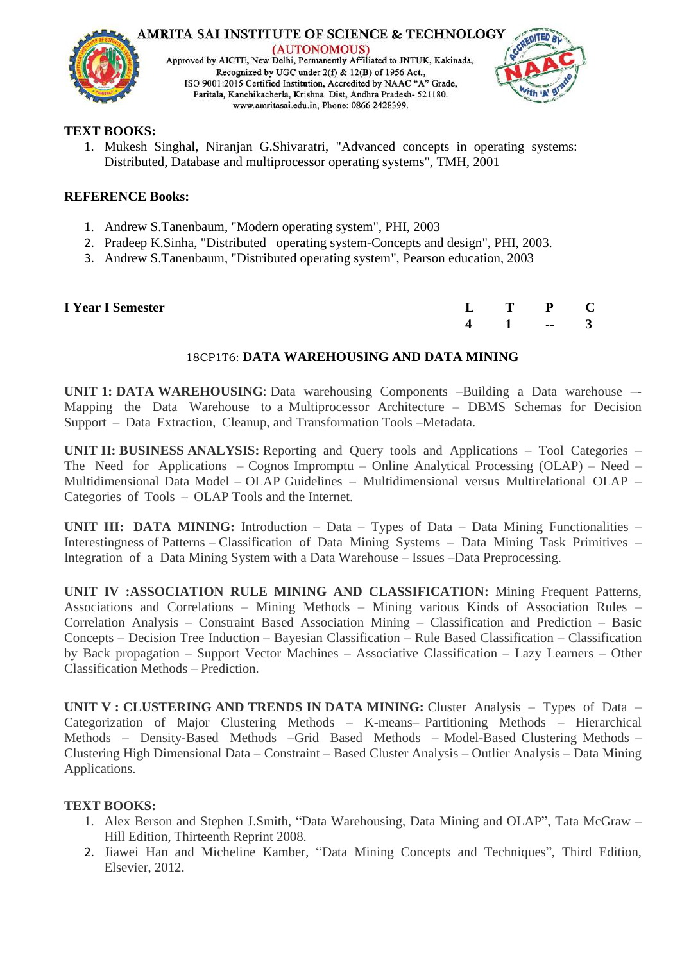

**AMRITA SAI INSTITUTE OF SCIENCE & TECHNOLOGY** (AUTONOMOUS) Approved by AICTE, New Delhi, Permanently Affiliated to JNTUK, Kakinada, Recognized by UGC under 2(f) & 12(B) of 1956 Act., ISO 9001:2015 Certified Institution, Accredited by NAAC "A" Grade, Paritala, Kanchikacherla, Krishna Dist, Andhra Pradesh- 521180. www.amritasai.edu.in, Phone: 0866 2428399.



# **TEXT BOOKS:**

1. Mukesh Singhal, Niranjan G.Shivaratri, "Advanced concepts in operating systems: Distributed, Database and multiprocessor operating systems", TMH, 2001

# **REFERENCE Books:**

- 1. Andrew S.Tanenbaum, "Modern operating system", PHI, 2003
- 2. Pradeep K.Sinha, "Distributed operating system-Concepts and design", PHI, 2003.
- 3. Andrew S.Tanenbaum, "Distributed operating system", Pearson education, 2003

| <b>I Year I Semester</b> | $L$ T P C            |  |
|--------------------------|----------------------|--|
|                          | $4 \quad 1 \quad -3$ |  |

# 18CP1T6: **DATA WAREHOUSING AND DATA MINING**

**UNIT 1: DATA WAREHOUSING**: Data warehousing Components –Building a Data warehouse –- Mapping the Data Warehouse to a Multiprocessor Architecture – DBMS Schemas for Decision Support – Data Extraction, Cleanup, and Transformation Tools –Metadata.

**UNIT II: BUSINESS ANALYSIS:** Reporting and Query tools and Applications – Tool Categories – The Need for Applications – Cognos Impromptu – Online Analytical Processing (OLAP) – Need – Multidimensional Data Model – OLAP Guidelines – Multidimensional versus Multirelational OLAP – Categories of Tools – OLAP Tools and the Internet.

**UNIT III: DATA MINING:** Introduction – Data – Types of Data – Data Mining Functionalities – Interestingness of Patterns – Classification of Data Mining Systems – Data Mining Task Primitives – Integration of a Data Mining System with a Data Warehouse – Issues –Data Preprocessing.

**UNIT IV :ASSOCIATION RULE MINING AND CLASSIFICATION:** Mining Frequent Patterns, Associations and Correlations – Mining Methods – Mining various Kinds of Association Rules – Correlation Analysis – Constraint Based Association Mining – Classification and Prediction – Basic Concepts – Decision Tree Induction – Bayesian Classification – Rule Based Classification – Classification by Back propagation – Support Vector Machines – Associative Classification – Lazy Learners – Other Classification Methods – Prediction.

**UNIT V : CLUSTERING AND TRENDS IN DATA MINING:** Cluster Analysis – Types of Data – Categorization of Major Clustering Methods – K-means– Partitioning Methods – Hierarchical Methods – Density-Based Methods –Grid Based Methods – Model-Based Clustering Methods – Clustering High Dimensional Data – Constraint – Based Cluster Analysis – Outlier Analysis – Data Mining Applications.

# **TEXT BOOKS:**

- 1. Alex Berson and Stephen J.Smith, "Data Warehousing, Data Mining and OLAP", Tata McGraw Hill Edition, Thirteenth Reprint 2008.
- 2. Jiawei Han and Micheline Kamber, "Data Mining Concepts and Techniques", Third Edition, Elsevier, 2012.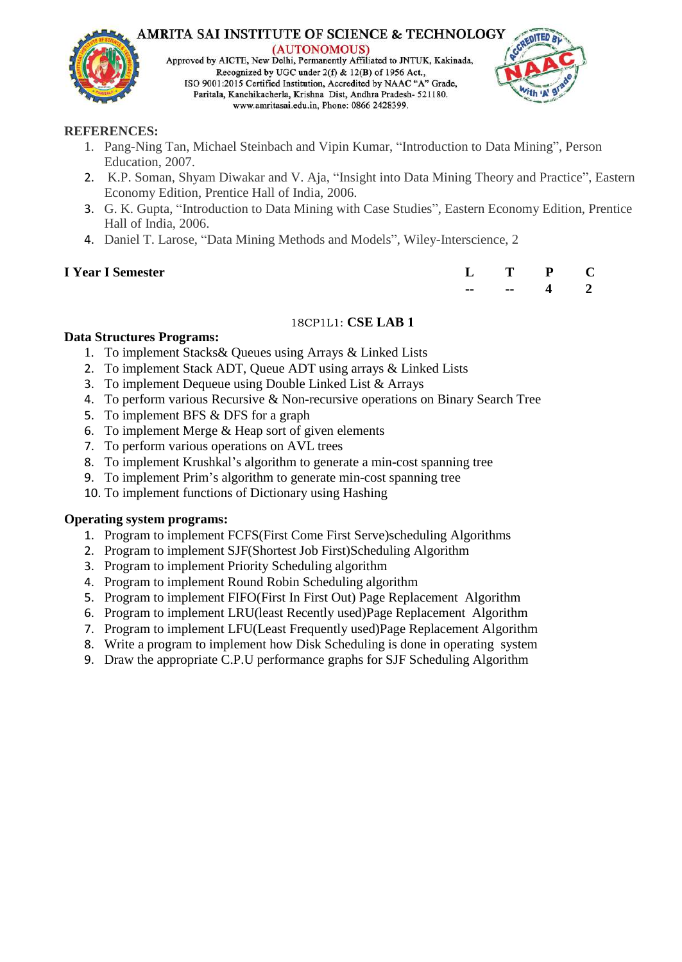

**AMRITA SAI INSTITUTE OF SCIENCE & TECHNOLOGY** (AUTONOMOUS) Approved by AICTE, New Delhi, Permanently Affiliated to JNTUK, Kakinada, Recognized by UGC under 2(f) & 12(B) of 1956 Act., ISO 9001:2015 Certified Institution, Accredited by NAAC "A" Grade, Paritala, Kanchikacherla, Krishna Dist, Andhra Pradesh- 521180. www.amritasai.edu.in, Phone: 0866 2428399.



# **REFERENCES:**

- 1. Pang-Ning Tan, Michael Steinbach and Vipin Kumar, "Introduction to Data Mining", Person Education, 2007.
- 2. K.P. Soman, Shyam Diwakar and V. Aja, "Insight into Data Mining Theory and Practice", Eastern Economy Edition, Prentice Hall of India, 2006.
- 3. G. K. Gupta, "Introduction to Data Mining with Case Studies", Eastern Economy Edition, Prentice Hall of India, 2006.
- 4. Daniel T. Larose, "Data Mining Methods and Models", Wiley-Interscience, 2

# **I** Year I Semester

| L  | Т  | P | L. |
|----|----|---|----|
| -- | -- | л |    |

# 18CP1L1: **CSE LAB 1**

# **Data Structures Programs:**

- 1. To implement Stacks& Queues using Arrays & Linked Lists
- 2. To implement Stack ADT, Queue ADT using arrays & Linked Lists
- 3. To implement Dequeue using Double Linked List & Arrays
- 4. To perform various Recursive & Non-recursive operations on Binary Search Tree
- 5. To implement BFS & DFS for a graph
- 6. To implement Merge & Heap sort of given elements
- 7. To perform various operations on AVL trees
- 8. To implement Krushkal's algorithm to generate a min-cost spanning tree
- 9. To implement Prim's algorithm to generate min-cost spanning tree
- 10. To implement functions of Dictionary using Hashing

# **Operating system programs:**

- 1. Program to implement FCFS(First Come First Serve)scheduling Algorithms
- 2. Program to implement SJF(Shortest Job First)Scheduling Algorithm
- 3. Program to implement Priority Scheduling algorithm
- 4. Program to implement Round Robin Scheduling algorithm
- 5. Program to implement FIFO(First In First Out) Page Replacement Algorithm
- 6. Program to implement LRU(least Recently used)Page Replacement Algorithm
- 7. Program to implement LFU(Least Frequently used)Page Replacement Algorithm
- 8. Write a program to implement how Disk Scheduling is done in operating system
- 9. Draw the appropriate C.P.U performance graphs for SJF Scheduling Algorithm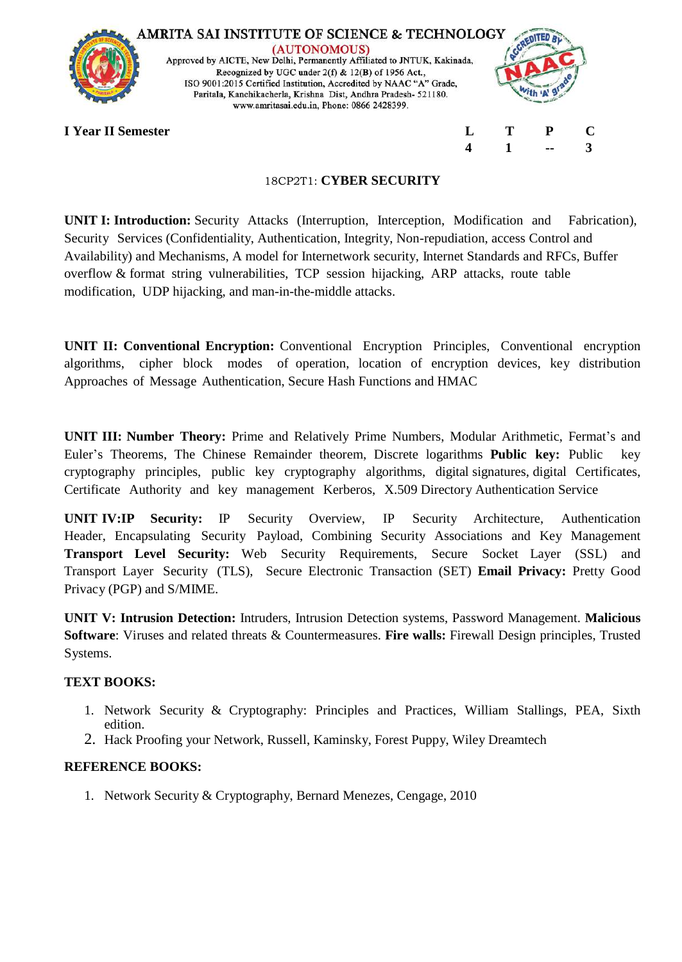

**AMRITA SAI INSTITUTE OF SCIENCE & TECHNOLOGY** (AUTONOMOUS) Approved by AICTE, New Delhi, Permanently Affiliated to JNTUK, Kakinada, Recognized by UGC under 2(f) & 12(B) of 1956 Act., ISO 9001:2015 Certified Institution, Accredited by NAAC "A" Grade, Paritala, Kanchikacherla, Krishna Dist, Andhra Pradesh- 521180. www.amritasai.edu.in, Phone: 0866 2428399.



**4 1 -- 3**

**I Year II Semester L T P C**

# 18CP2T1: **CYBER SECURITY**

**UNIT I: Introduction:** Security Attacks (Interruption, Interception, Modification and Fabrication), Security Services (Confidentiality, Authentication, Integrity, Non-repudiation, access Control and Availability) and Mechanisms, A model for Internetwork security, Internet Standards and RFCs, Buffer overflow & format string vulnerabilities, TCP session hijacking, ARP attacks, route table modification, UDP hijacking, and man-in-the-middle attacks.

**UNIT II: Conventional Encryption:** Conventional Encryption Principles, Conventional encryption algorithms, cipher block modes of operation, location of encryption devices, key distribution Approaches of Message Authentication, Secure Hash Functions and HMAC

**UNIT III: Number Theory:** Prime and Relatively Prime Numbers, Modular Arithmetic, Fermat's and Euler's Theorems, The Chinese Remainder theorem, Discrete logarithms **Public key:** Public key cryptography principles, public key cryptography algorithms, digital signatures, digital Certificates, Certificate Authority and key management Kerberos, X.509 Directory Authentication Service

**UNIT IV:IP Security:** IP Security Overview, IP Security Architecture, Authentication Header, Encapsulating Security Payload, Combining Security Associations and Key Management **Transport Level Security:** Web Security Requirements, Secure Socket Layer (SSL) and Transport Layer Security (TLS), Secure Electronic Transaction (SET) **Email Privacy:** Pretty Good Privacy (PGP) and S/MIME.

**UNIT V: Intrusion Detection:** Intruders, Intrusion Detection systems, Password Management. **Malicious Software**: Viruses and related threats & Countermeasures. **Fire walls:** Firewall Design principles, Trusted Systems.

# **TEXT BOOKS:**

- 1. Network Security & Cryptography: Principles and Practices, William Stallings, PEA, Sixth edition.
- 2. Hack Proofing your Network, Russell, Kaminsky, Forest Puppy, Wiley Dreamtech

# **REFERENCE BOOKS:**

1. Network Security & Cryptography, Bernard Menezes, Cengage, 2010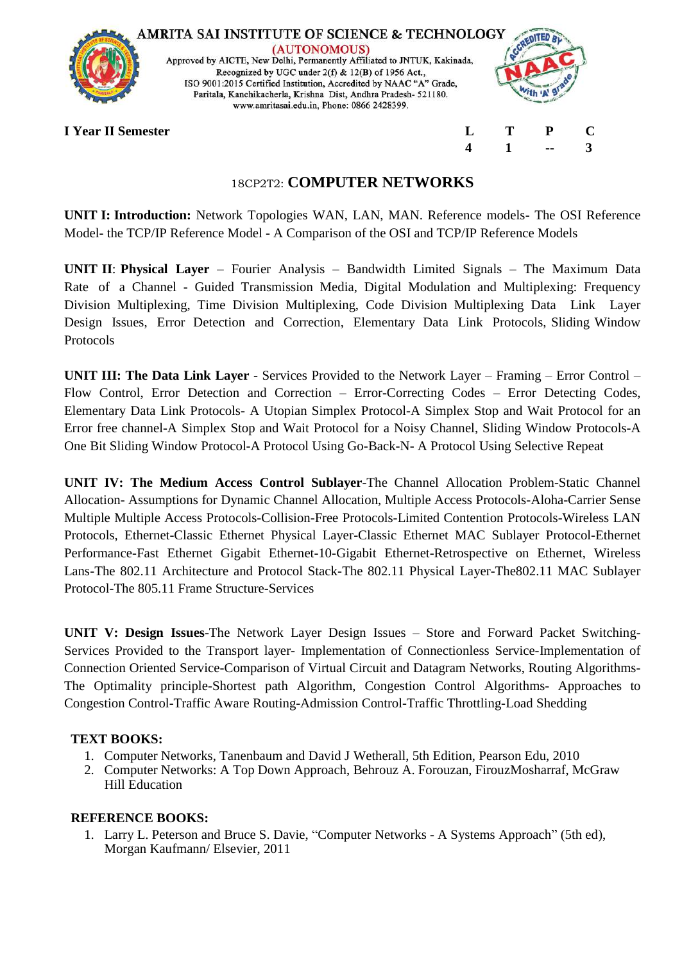

# 18CP2T2: **COMPUTER NETWORKS**

**UNIT I: Introduction:** Network Topologies WAN, LAN, MAN. Reference models- The OSI Reference Model- the TCP/IP Reference Model - A Comparison of the OSI and TCP/IP Reference Models

**UNIT II**: **Physical Layer** – Fourier Analysis – Bandwidth Limited Signals – The Maximum Data Rate of a Channel - Guided Transmission Media, Digital Modulation and Multiplexing: Frequency Division Multiplexing, Time Division Multiplexing, Code Division Multiplexing Data Link Layer Design Issues, Error Detection and Correction, Elementary Data Link Protocols, Sliding Window Protocols

**UNIT III: The Data Link Layer** - Services Provided to the Network Layer – Framing – Error Control – Flow Control, Error Detection and Correction – Error-Correcting Codes – Error Detecting Codes, Elementary Data Link Protocols- A Utopian Simplex Protocol-A Simplex Stop and Wait Protocol for an Error free channel-A Simplex Stop and Wait Protocol for a Noisy Channel, Sliding Window Protocols-A One Bit Sliding Window Protocol-A Protocol Using Go-Back-N- A Protocol Using Selective Repeat

**UNIT IV: The Medium Access Control Sublayer**-The Channel Allocation Problem-Static Channel Allocation- Assumptions for Dynamic Channel Allocation, Multiple Access Protocols-Aloha-Carrier Sense Multiple Multiple Access Protocols-Collision-Free Protocols-Limited Contention Protocols-Wireless LAN Protocols, Ethernet-Classic Ethernet Physical Layer-Classic Ethernet MAC Sublayer Protocol-Ethernet Performance-Fast Ethernet Gigabit Ethernet-10-Gigabit Ethernet-Retrospective on Ethernet, Wireless Lans-The 802.11 Architecture and Protocol Stack-The 802.11 Physical Layer-The802.11 MAC Sublayer Protocol-The 805.11 Frame Structure-Services

**UNIT V: Design Issues**-The Network Layer Design Issues – Store and Forward Packet Switching-Services Provided to the Transport layer- Implementation of Connectionless Service-Implementation of Connection Oriented Service-Comparison of Virtual Circuit and Datagram Networks, Routing Algorithms-The Optimality principle-Shortest path Algorithm, Congestion Control Algorithms- Approaches to Congestion Control-Traffic Aware Routing-Admission Control-Traffic Throttling-Load Shedding

# **TEXT BOOKS:**

- 1. Computer Networks, Tanenbaum and David J Wetherall, 5th Edition, Pearson Edu, 2010
- 2. Computer Networks: A Top Down Approach, Behrouz A. Forouzan, FirouzMosharraf, McGraw Hill Education

# **REFERENCE BOOKS:**

1. Larry L. Peterson and Bruce S. Davie, "Computer Networks - A Systems Approach" (5th ed), Morgan Kaufmann/ Elsevier, 2011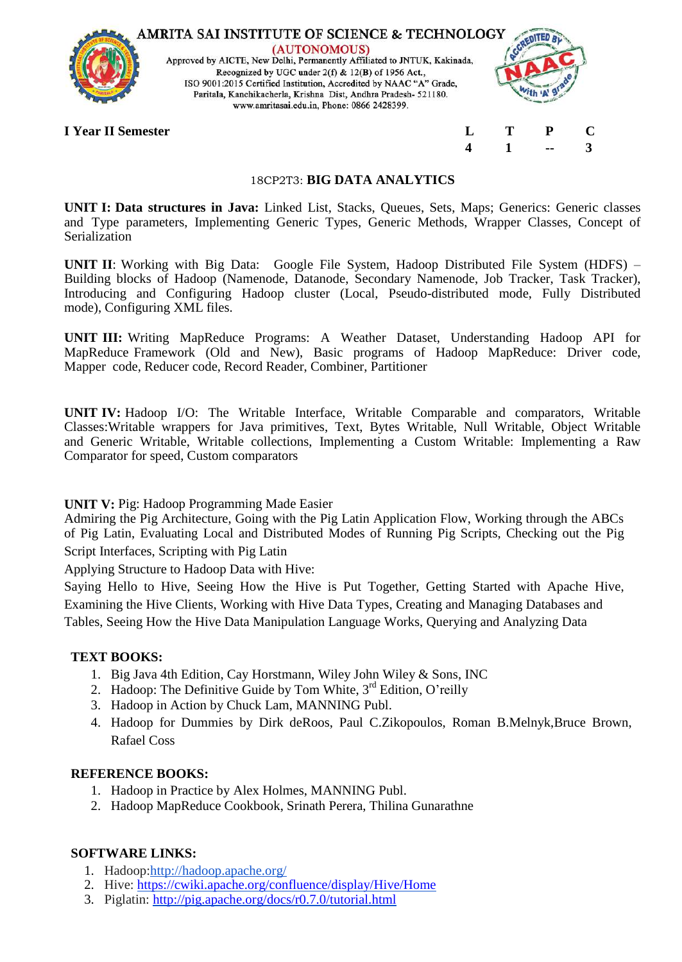

#### 18CP2T3: **BIG DATA ANALYTICS**

**UNIT I: Data structures in Java:** Linked List, Stacks, Queues, Sets, Maps; Generics: Generic classes and Type parameters, Implementing Generic Types, Generic Methods, Wrapper Classes, Concept of Serialization

**UNIT II**: Working with Big Data: Google File System, Hadoop Distributed File System (HDFS) – Building blocks of Hadoop (Namenode, Datanode, Secondary Namenode, Job Tracker, Task Tracker), Introducing and Configuring Hadoop cluster (Local, Pseudo-distributed mode, Fully Distributed mode), Configuring XML files.

**UNIT III:** Writing MapReduce Programs: A Weather Dataset, Understanding Hadoop API for MapReduce Framework (Old and New), Basic programs of Hadoop MapReduce: Driver code, Mapper code, Reducer code, Record Reader, Combiner, Partitioner

**UNIT IV:** Hadoop I/O: The Writable Interface, Writable Comparable and comparators, Writable Classes:Writable wrappers for Java primitives, Text, Bytes Writable, Null Writable, Object Writable and Generic Writable, Writable collections, Implementing a Custom Writable: Implementing a Raw Comparator for speed, Custom comparators

# **UNIT V:** Pig: Hadoop Programming Made Easier

Admiring the Pig Architecture, Going with the Pig Latin Application Flow, Working through the ABCs of Pig Latin, Evaluating Local and Distributed Modes of Running Pig Scripts, Checking out the Pig Script Interfaces, Scripting with Pig Latin

Applying Structure to Hadoop Data with Hive:

Saying Hello to Hive, Seeing How the Hive is Put Together, Getting Started with Apache Hive, Examining the Hive Clients, Working with Hive Data Types, Creating and Managing Databases and Tables, Seeing How the Hive Data Manipulation Language Works, Querying and Analyzing Data

# **TEXT BOOKS:**

- 1. Big Java 4th Edition, Cay Horstmann, Wiley John Wiley & Sons, INC
- 2. Hadoop: The Definitive Guide by Tom White, 3<sup>rd</sup> Edition, O'reilly
- 3. Hadoop in Action by Chuck Lam, MANNING Publ.
- 4. Hadoop for Dummies by Dirk deRoos, Paul C.Zikopoulos, Roman B.Melnyk,Bruce Brown, Rafael Coss

#### **REFERENCE BOOKS:**

- 1. Hadoop in Practice by Alex Holmes, MANNING Publ.
- 2. Hadoop MapReduce Cookbook, Srinath Perera, Thilina Gunarathne

# **SOFTWARE LINKS:**

- 1. H[adoop:http://hadoop.apache.org/](http://hadoop.apache.org/)
- 2. Hive:<https://cwiki.apache.org/confluence/display/Hive/Home>
- 3. Piglatin:<http://pig.apache.org/docs/r0.7.0/tutorial.html>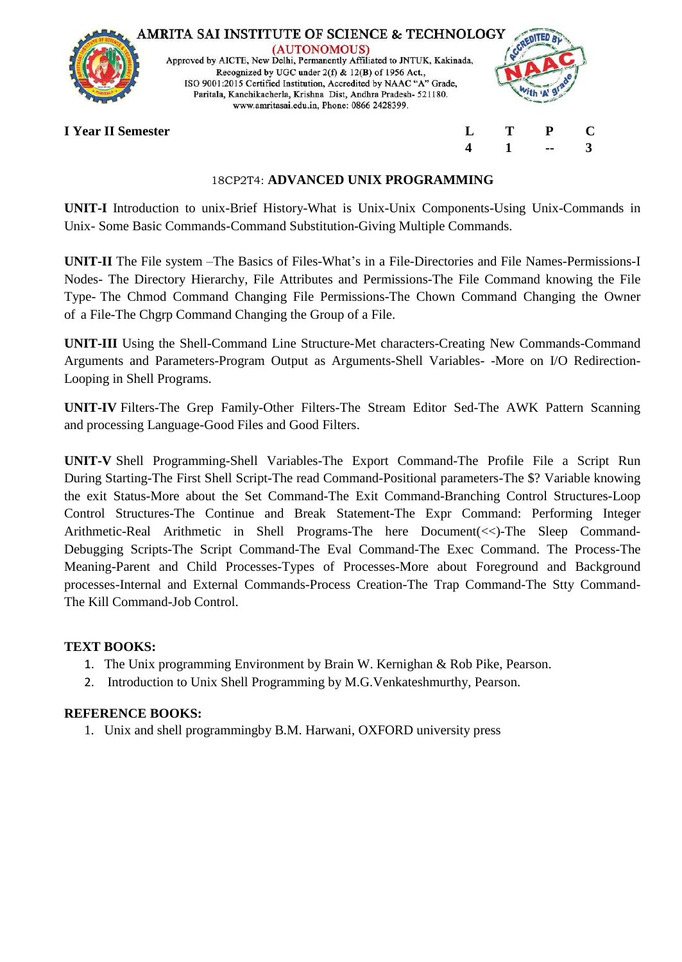

## 18CP2T4: **ADVANCED UNIX PROGRAMMING**

**UNIT-I** Introduction to unix-Brief History-What is Unix-Unix Components-Using Unix-Commands in Unix- Some Basic Commands-Command Substitution-Giving Multiple Commands.

**UNIT-II** The File system –The Basics of Files-What's in a File-Directories and File Names-Permissions-I Nodes- The Directory Hierarchy, File Attributes and Permissions-The File Command knowing the File Type- The Chmod Command Changing File Permissions-The Chown Command Changing the Owner of a File-The Chgrp Command Changing the Group of a File.

**UNIT-III** Using the Shell-Command Line Structure-Met characters-Creating New Commands-Command Arguments and Parameters-Program Output as Arguments-Shell Variables- -More on I/O Redirection-Looping in Shell Programs.

**UNIT-IV** Filters-The Grep Family-Other Filters-The Stream Editor Sed-The AWK Pattern Scanning and processing Language-Good Files and Good Filters.

**UNIT-V** Shell Programming-Shell Variables-The Export Command-The Profile File a Script Run During Starting-The First Shell Script-The read Command-Positional parameters-The \$? Variable knowing the exit Status-More about the Set Command-The Exit Command-Branching Control Structures-Loop Control Structures-The Continue and Break Statement-The Expr Command: Performing Integer Arithmetic-Real Arithmetic in Shell Programs-The here Document(<<)-The Sleep Command-Debugging Scripts-The Script Command-The Eval Command-The Exec Command. The Process-The Meaning-Parent and Child Processes-Types of Processes-More about Foreground and Background processes-Internal and External Commands-Process Creation-The Trap Command-The Stty Command-The Kill Command-Job Control.

# **TEXT BOOKS:**

- 1. The Unix programming Environment by Brain W. Kernighan & Rob Pike, Pearson.
- 2. Introduction to Unix Shell Programming by M.G.Venkateshmurthy, Pearson.

# **REFERENCE BOOKS:**

1. Unix and shell programmingby B.M. Harwani, OXFORD university press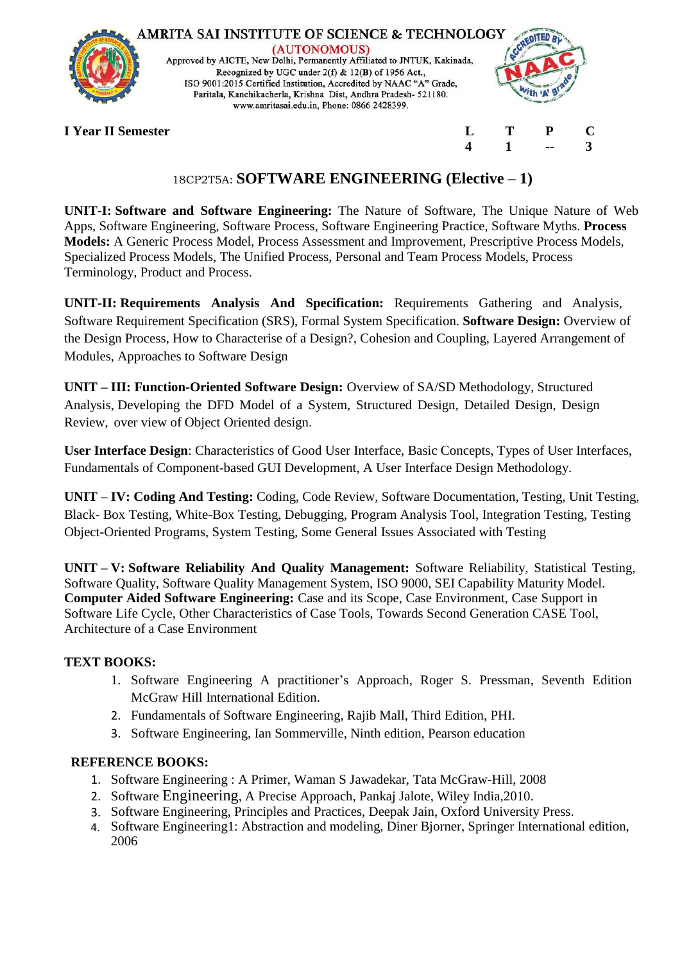

# 18CP2T5A: **SOFTWARE ENGINEERING (Elective – 1)**

**UNIT-I: Software and Software Engineering:** The Nature of Software, The Unique Nature of Web Apps, Software Engineering, Software Process, Software Engineering Practice, Software Myths. **Process Models:** A Generic Process Model, Process Assessment and Improvement, Prescriptive Process Models, Specialized Process Models, The Unified Process, Personal and Team Process Models, Process Terminology, Product and Process.

**UNIT-II: Requirements Analysis And Specification:** Requirements Gathering and Analysis, Software Requirement Specification (SRS), Formal System Specification. **Software Design:** Overview of the Design Process, How to Characterise of a Design?, Cohesion and Coupling, Layered Arrangement of Modules, Approaches to Software Design

**UNIT – III: Function-Oriented Software Design:** Overview of SA/SD Methodology, Structured Analysis, Developing the DFD Model of a System, Structured Design, Detailed Design, Design Review, over view of Object Oriented design.

**User Interface Design**: Characteristics of Good User Interface, Basic Concepts, Types of User Interfaces, Fundamentals of Component-based GUI Development, A User Interface Design Methodology.

**UNIT – IV: Coding And Testing:** Coding, Code Review, Software Documentation, Testing, Unit Testing, Black- Box Testing, White-Box Testing, Debugging, Program Analysis Tool, Integration Testing, Testing Object-Oriented Programs, System Testing, Some General Issues Associated with Testing

**UNIT – V: Software Reliability And Quality Management:** Software Reliability, Statistical Testing, Software Quality, Software Quality Management System, ISO 9000, SEI Capability Maturity Model. **Computer Aided Software Engineering:** Case and its Scope, Case Environment, Case Support in Software Life Cycle, Other Characteristics of Case Tools, Towards Second Generation CASE Tool, Architecture of a Case Environment

# **TEXT BOOKS:**

- 1. Software Engineering A practitioner's Approach, Roger S. Pressman, Seventh Edition McGraw Hill International Edition.
- 2. Fundamentals of Software Engineering, Rajib Mall, Third Edition, PHI.
- 3. Software Engineering, Ian Sommerville, Ninth edition, Pearson education

- 1. Software Engineering : A Primer, Waman S Jawadekar, Tata McGraw-Hill, 2008
- 2. Software Engineering, A Precise Approach, Pankaj Jalote, Wiley India,2010.
- 3. Software Engineering, Principles and Practices, Deepak Jain, Oxford University Press.
- 4. Software Engineering1: Abstraction and modeling, Diner Bjorner, Springer International edition, 2006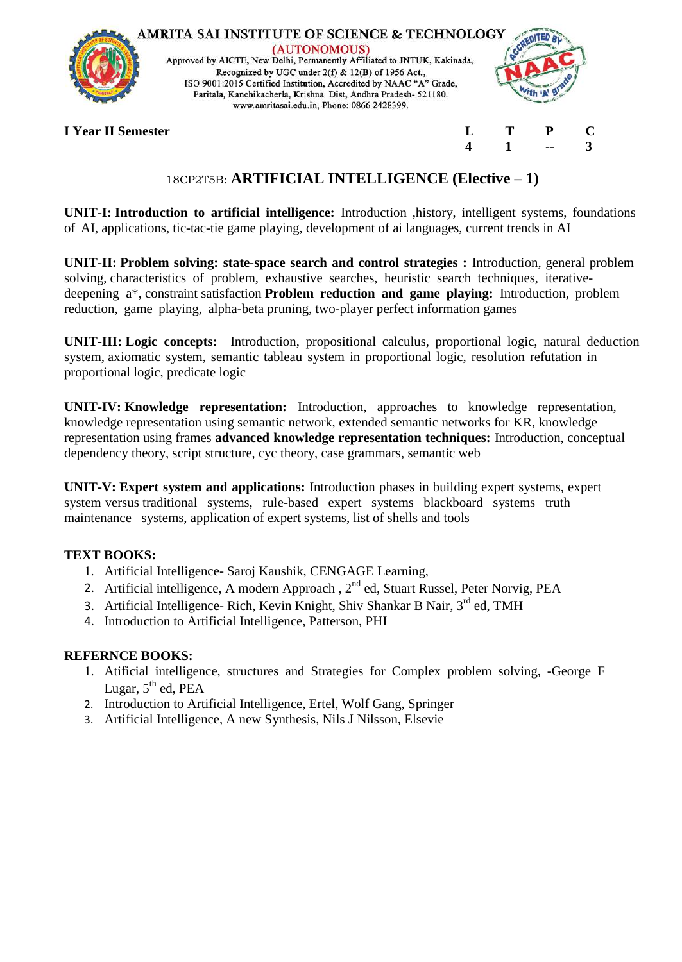

(AUTONOMOUS) Approved by AICTE, New Delhi, Permanently Affiliated to JNTUK, Kakinada, Recognized by UGC under 2(f) & 12(B) of 1956 Act.,<br>ISO 9001:2015 Certified Institution, Accredited by NAAC "A" Grade, Paritala, Kanchikacherla, Krishna Dist, Andhra Pradesh- 521180. www.amritasai.edu.in, Phone: 0866 2428399.



**4 1 -- 3**

# **I Year II Semester L T P C**

# 18CP2T5B: **ARTIFICIAL INTELLIGENCE (Elective – 1)**

**UNIT-I: Introduction to artificial intelligence:** Introduction ,history, intelligent systems, foundations of AI, applications, tic-tac-tie game playing, development of ai languages, current trends in AI

**UNIT-II: Problem solving: state-space search and control strategies :** Introduction, general problem solving, characteristics of problem, exhaustive searches, heuristic search techniques, iterativedeepening a\*, constraint satisfaction **Problem reduction and game playing:** Introduction, problem reduction, game playing, alpha-beta pruning, two-player perfect information games

**UNIT-III: Logic concepts:** Introduction, propositional calculus, proportional logic, natural deduction system, axiomatic system, semantic tableau system in proportional logic, resolution refutation in proportional logic, predicate logic

**UNIT-IV: Knowledge representation:** Introduction, approaches to knowledge representation, knowledge representation using semantic network, extended semantic networks for KR, knowledge representation using frames **advanced knowledge representation techniques:** Introduction, conceptual dependency theory, script structure, cyc theory, case grammars, semantic web

**UNIT-V: Expert system and applications:** Introduction phases in building expert systems, expert system versus traditional systems, rule-based expert systems blackboard systems truth maintenance systems, application of expert systems, list of shells and tools

# **TEXT BOOKS:**

- 1. Artificial Intelligence- Saroj Kaushik, CENGAGE Learning,
- 2. Artificial intelligence, A modern Approach, 2<sup>nd</sup> ed, Stuart Russel, Peter Norvig, PEA
- 3. Artificial Intelligence- Rich, Kevin Knight, Shiv Shankar B Nair, 3<sup>rd</sup> ed, TMH
- 4. Introduction to Artificial Intelligence, Patterson, PHI

- 1. Atificial intelligence, structures and Strategies for Complex problem solving, -George F Lugar,  $5^{\text{th}}$  ed, PEA
- 2. Introduction to Artificial Intelligence, Ertel, Wolf Gang, Springer
- 3. Artificial Intelligence, A new Synthesis, Nils J Nilsson, Elsevie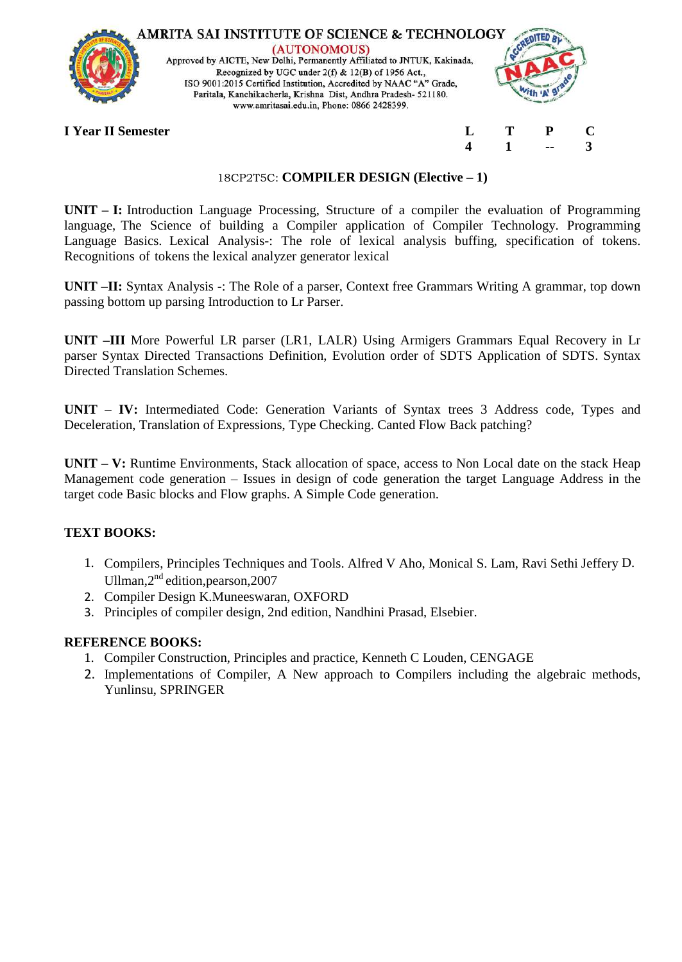

## 18CP2T5C: **COMPILER DESIGN (Elective – 1)**

**UNIT – I:** Introduction Language Processing, Structure of a compiler the evaluation of Programming language, The Science of building a Compiler application of Compiler Technology. Programming Language Basics. Lexical Analysis-: The role of lexical analysis buffing, specification of tokens. Recognitions of tokens the lexical analyzer generator lexical

**UNIT –II:** Syntax Analysis -: The Role of a parser, Context free Grammars Writing A grammar, top down passing bottom up parsing Introduction to Lr Parser.

**UNIT –III** More Powerful LR parser (LR1, LALR) Using Armigers Grammars Equal Recovery in Lr parser Syntax Directed Transactions Definition, Evolution order of SDTS Application of SDTS. Syntax Directed Translation Schemes.

**UNIT – IV:** Intermediated Code: Generation Variants of Syntax trees 3 Address code, Types and Deceleration, Translation of Expressions, Type Checking. Canted Flow Back patching?

**UNIT – V:** Runtime Environments, Stack allocation of space, access to Non Local date on the stack Heap Management code generation – Issues in design of code generation the target Language Address in the target code Basic blocks and Flow graphs. A Simple Code generation.

# **TEXT BOOKS:**

- 1. Compilers, Principles Techniques and Tools. Alfred V Aho, Monical S. Lam, Ravi Sethi Jeffery D. Ullman,2<sup>nd</sup> edition, pearson, 2007
- 2. Compiler Design K.Muneeswaran, OXFORD
- 3. Principles of compiler design, 2nd edition, Nandhini Prasad, Elsebier.

- 1. Compiler Construction, Principles and practice, Kenneth C Louden, CENGAGE
- 2. Implementations of Compiler, A New approach to Compilers including the algebraic methods, Yunlinsu, SPRINGER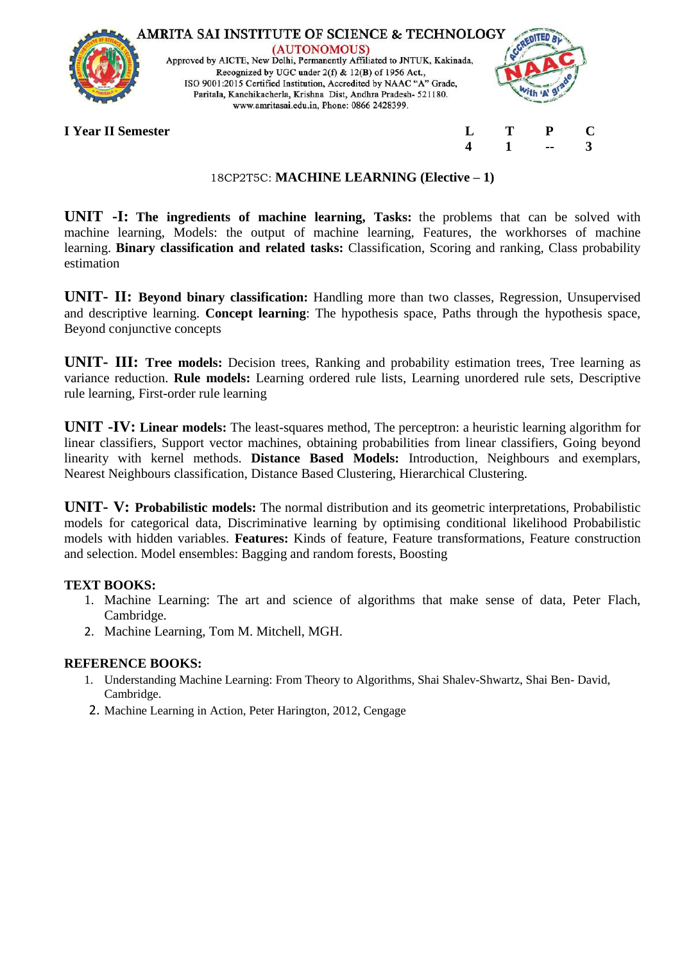

## 18CP2T5C: **MACHINE LEARNING (Elective – 1)**

**UNIT -I: The ingredients of machine learning, Tasks:** the problems that can be solved with machine learning, Models: the output of machine learning, Features, the workhorses of machine learning. **Binary classification and related tasks:** Classification, Scoring and ranking, Class probability estimation

**UNIT- II: Beyond binary classification:** Handling more than two classes, Regression, Unsupervised and descriptive learning. **Concept learning**: The hypothesis space, Paths through the hypothesis space, Beyond conjunctive concepts

**UNIT- III: Tree models:** Decision trees, Ranking and probability estimation trees, Tree learning as variance reduction. **Rule models:** Learning ordered rule lists, Learning unordered rule sets, Descriptive rule learning, First-order rule learning

**UNIT -IV: Linear models:** The least-squares method, The perceptron: a heuristic learning algorithm for linear classifiers, Support vector machines, obtaining probabilities from linear classifiers, Going beyond linearity with kernel methods. **Distance Based Models:** Introduction, Neighbours and exemplars, Nearest Neighbours classification, Distance Based Clustering, Hierarchical Clustering.

**UNIT- V: Probabilistic models:** The normal distribution and its geometric interpretations, Probabilistic models for categorical data, Discriminative learning by optimising conditional likelihood Probabilistic models with hidden variables. **Features:** Kinds of feature, Feature transformations, Feature construction and selection. Model ensembles: Bagging and random forests, Boosting

# **TEXT BOOKS:**

- 1. Machine Learning: The art and science of algorithms that make sense of data, Peter Flach, Cambridge.
- 2. Machine Learning, Tom M. Mitchell, MGH.

- 1. Understanding Machine Learning: From Theory to Algorithms, Shai Shalev-Shwartz, Shai Ben- David, Cambridge.
- 2. Machine Learning in Action, Peter Harington, 2012, Cengage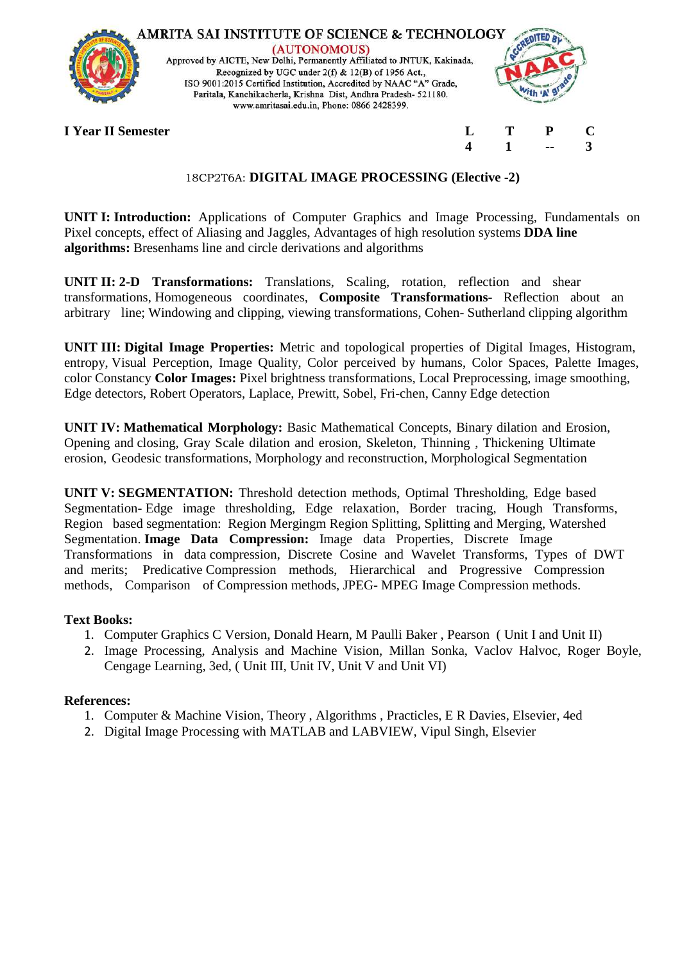

# 18CP2T6A: **DIGITAL IMAGE PROCESSING (Elective -2)**

**UNIT I: Introduction:** Applications of Computer Graphics and Image Processing, Fundamentals on Pixel concepts, effect of Aliasing and Jaggles, Advantages of high resolution systems **DDA line algorithms:** Bresenhams line and circle derivations and algorithms

**UNIT II: 2-D Transformations:** Translations, Scaling, rotation, reflection and shear transformations, Homogeneous coordinates, **Composite Transformations**- Reflection about an arbitrary line; Windowing and clipping, viewing transformations, Cohen- Sutherland clipping algorithm

**UNIT III: Digital Image Properties:** Metric and topological properties of Digital Images, Histogram, entropy, Visual Perception, Image Quality, Color perceived by humans, Color Spaces, Palette Images, color Constancy **Color Images:** Pixel brightness transformations, Local Preprocessing, image smoothing, Edge detectors, Robert Operators, Laplace, Prewitt, Sobel, Fri-chen, Canny Edge detection

**UNIT IV: Mathematical Morphology:** Basic Mathematical Concepts, Binary dilation and Erosion, Opening and closing, Gray Scale dilation and erosion, Skeleton, Thinning , Thickening Ultimate erosion, Geodesic transformations, Morphology and reconstruction, Morphological Segmentation

**UNIT V: SEGMENTATION:** Threshold detection methods, Optimal Thresholding, Edge based Segmentation- Edge image thresholding, Edge relaxation, Border tracing, Hough Transforms, Region based segmentation: Region Mergingm Region Splitting, Splitting and Merging, Watershed Segmentation. **Image Data Compression:** Image data Properties, Discrete Image Transformations in data compression, Discrete Cosine and Wavelet Transforms, Types of DWT and merits; Predicative Compression methods, Hierarchical and Progressive Compression methods, Comparison of Compression methods, JPEG- MPEG Image Compression methods.

# **Text Books:**

- 1. Computer Graphics C Version, Donald Hearn, M Paulli Baker , Pearson ( Unit I and Unit II)
- 2. Image Processing, Analysis and Machine Vision, Millan Sonka, Vaclov Halvoc, Roger Boyle, Cengage Learning, 3ed, ( Unit III, Unit IV, Unit V and Unit VI)

#### **References:**

- 1. Computer & Machine Vision, Theory , Algorithms , Practicles, E R Davies, Elsevier, 4ed
- 2. Digital Image Processing with MATLAB and LABVIEW, Vipul Singh, Elsevier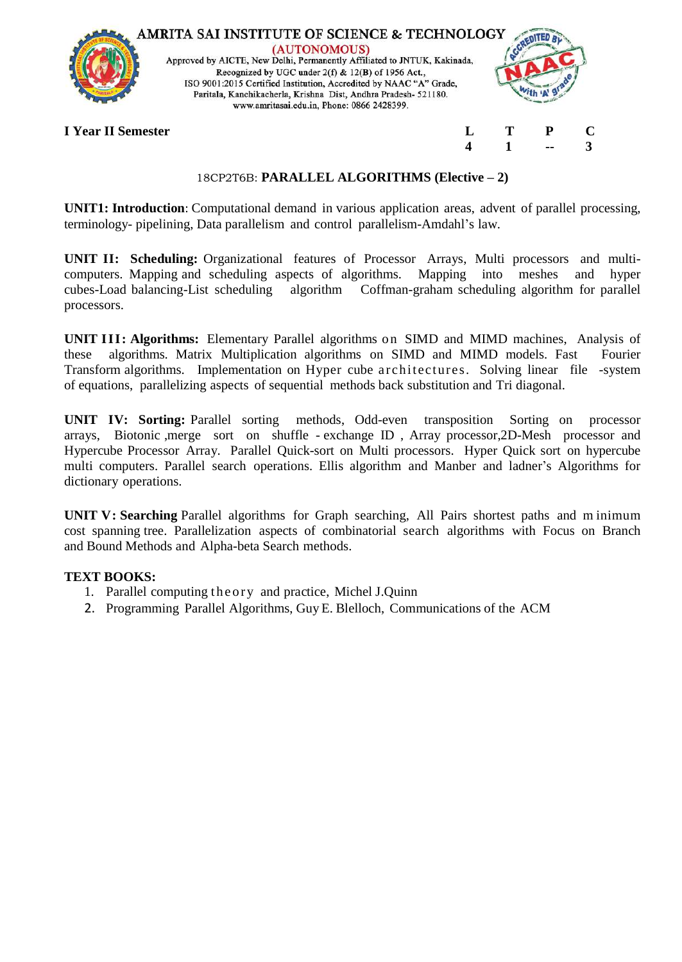

# 18CP2T6B: **PARALLEL ALGORITHMS (Elective – 2)**

**UNIT1: Introduction**: Computational demand in various application areas, advent of parallel processing, terminology- pipelining, Data parallelism and control parallelism-Amdahl's law.

**UNIT II: Scheduling:** Organizational features of Processor Arrays, Multi processors and multicomputers. Mapping and scheduling aspects of algorithms. Mapping into meshes and hyper cubes-Load balancing-List scheduling algorithm Coffman-graham scheduling algorithm for parallel processors.

**UNIT III: Algorithms:** Elementary Parallel algorithms on SIMD and MIMD machines, Analysis of these algorithms. Matrix Multiplication algorithms on SIMD and MIMD models. Fast Fourier Transform algorithms. Implementation on Hyper cube architectures. Solving linear file -system of equations, parallelizing aspects of sequential methods back substitution and Tri diagonal.

**UNIT IV: Sorting:** Parallel sorting methods, Odd-even transposition Sorting on processor arrays, Biotonic ,merge sort on shuffle - exchange ID , Array processor,2D-Mesh processor and Hypercube Processor Array. Parallel Quick-sort on Multi processors. Hyper Quick sort on hypercube multi computers. Parallel search operations. Ellis algorithm and Manber and ladner's Algorithms for dictionary operations.

**UNIT V: Searching** Parallel algorithms for Graph searching, All Pairs shortest paths and m inimum cost spanning tree. Parallelization aspects of combinatorial search algorithms with Focus on Branch and Bound Methods and Alpha-beta Search methods.

# **TEXT BOOKS:**

- 1. Parallel computing th e or y and practice, Michel J.Quinn
- 2. Programming Parallel Algorithms, Guy E. Blelloch, Communications of the ACM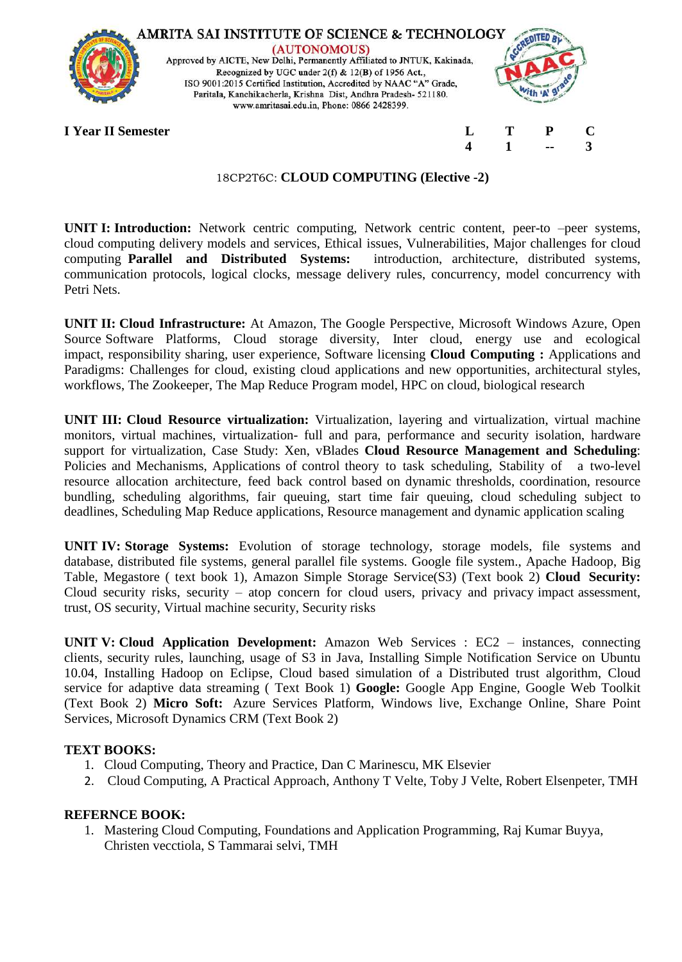

## 18CP2T6C: **CLOUD COMPUTING (Elective -2)**

**UNIT I: Introduction:** Network centric computing, Network centric content, peer-to –peer systems, cloud computing delivery models and services, Ethical issues, Vulnerabilities, Major challenges for cloud computing **Parallel and Distributed Systems:** introduction, architecture, distributed systems, communication protocols, logical clocks, message delivery rules, concurrency, model concurrency with Petri Nets.

**UNIT II: Cloud Infrastructure:** At Amazon, The Google Perspective, Microsoft Windows Azure, Open Source Software Platforms, Cloud storage diversity, Inter cloud, energy use and ecological impact, responsibility sharing, user experience, Software licensing **Cloud Computing :** Applications and Paradigms: Challenges for cloud, existing cloud applications and new opportunities, architectural styles, workflows, The Zookeeper, The Map Reduce Program model, HPC on cloud, biological research

**UNIT III: Cloud Resource virtualization:** Virtualization, layering and virtualization, virtual machine monitors, virtual machines, virtualization- full and para, performance and security isolation, hardware support for virtualization, Case Study: Xen, vBlades **Cloud Resource Management and Scheduling**: Policies and Mechanisms, Applications of control theory to task scheduling, Stability of a two-level resource allocation architecture, feed back control based on dynamic thresholds, coordination, resource bundling, scheduling algorithms, fair queuing, start time fair queuing, cloud scheduling subject to deadlines, Scheduling Map Reduce applications, Resource management and dynamic application scaling

**UNIT IV: Storage Systems:** Evolution of storage technology, storage models, file systems and database, distributed file systems, general parallel file systems. Google file system., Apache Hadoop, Big Table, Megastore ( text book 1), Amazon Simple Storage Service(S3) (Text book 2) **Cloud Security:** Cloud security risks, security – atop concern for cloud users, privacy and privacy impact assessment, trust, OS security, Virtual machine security, Security risks

**UNIT V: Cloud Application Development:** Amazon Web Services : EC2 – instances, connecting clients, security rules, launching, usage of S3 in Java, Installing Simple Notification Service on Ubuntu 10.04, Installing Hadoop on Eclipse, Cloud based simulation of a Distributed trust algorithm, Cloud service for adaptive data streaming ( Text Book 1) **Google:** Google App Engine, Google Web Toolkit (Text Book 2) **Micro Soft:** Azure Services Platform, Windows live, Exchange Online, Share Point Services, Microsoft Dynamics CRM (Text Book 2)

#### **TEXT BOOKS:**

- 1. Cloud Computing, Theory and Practice, Dan C Marinescu, MK Elsevier
- 2. Cloud Computing, A Practical Approach, Anthony T Velte, Toby J Velte, Robert Elsenpeter, TMH

# **REFERNCE BOOK:**

1. Mastering Cloud Computing, Foundations and Application Programming, Raj Kumar Buyya, Christen vecctiola, S Tammarai selvi, TMH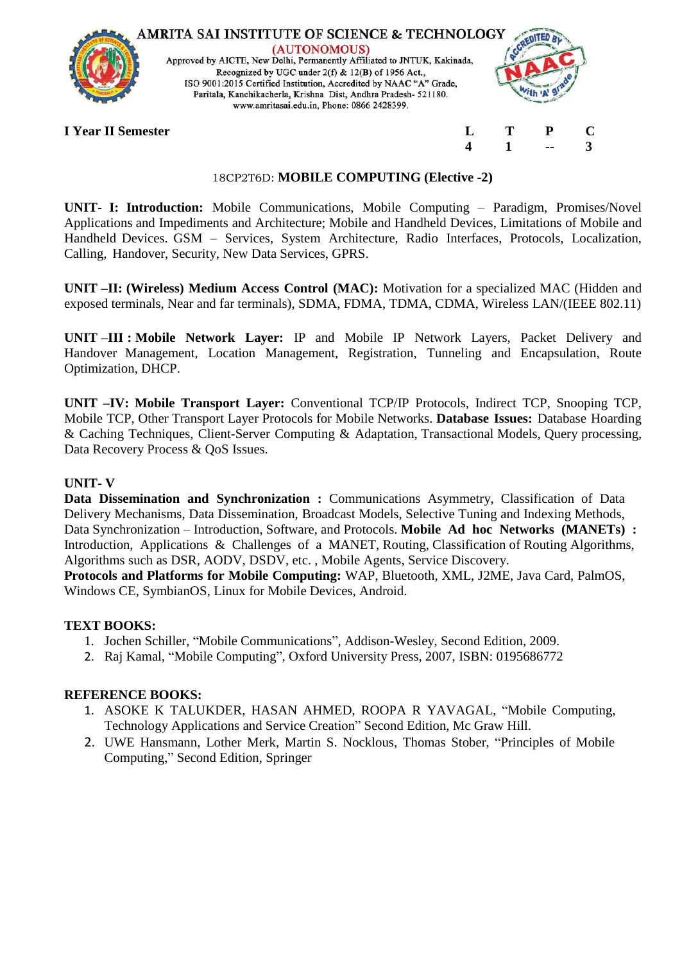

# 18CP2T6D: **MOBILE COMPUTING (Elective -2)**

**UNIT- I: Introduction:** Mobile Communications, Mobile Computing – Paradigm, Promises/Novel Applications and Impediments and Architecture; Mobile and Handheld Devices, Limitations of Mobile and Handheld Devices. GSM – Services, System Architecture, Radio Interfaces, Protocols, Localization, Calling, Handover, Security, New Data Services, GPRS.

**UNIT –II: (Wireless) Medium Access Control (MAC):** Motivation for a specialized MAC (Hidden and exposed terminals, Near and far terminals), SDMA, FDMA, TDMA, CDMA, Wireless LAN/(IEEE 802.11)

**UNIT –III : Mobile Network Layer:** IP and Mobile IP Network Layers, Packet Delivery and Handover Management, Location Management, Registration, Tunneling and Encapsulation, Route Optimization, DHCP.

**UNIT –IV: Mobile Transport Layer:** Conventional TCP/IP Protocols, Indirect TCP, Snooping TCP, Mobile TCP, Other Transport Layer Protocols for Mobile Networks. **Database Issues:** Database Hoarding & Caching Techniques, Client-Server Computing & Adaptation, Transactional Models, Query processing, Data Recovery Process & QoS Issues.

#### **UNIT- V**

Data Dissemination and Synchronization : Communications Asymmetry, Classification of Data Delivery Mechanisms, Data Dissemination, Broadcast Models, Selective Tuning and Indexing Methods, Data Synchronization – Introduction, Software, and Protocols. **Mobile Ad hoc Networks (MANETs) :**  Introduction, Applications & Challenges of a MANET, Routing, Classification of Routing Algorithms, Algorithms such as DSR, AODV, DSDV, etc. , Mobile Agents, Service Discovery.

**Protocols and Platforms for Mobile Computing:** WAP, Bluetooth, XML, J2ME, Java Card, PalmOS, Windows CE, SymbianOS, Linux for Mobile Devices, Android.

# **TEXT BOOKS:**

- 1. Jochen Schiller, "Mobile Communications", Addison-Wesley, Second Edition, 2009.
- 2. Raj Kamal, "Mobile Computing", Oxford University Press, 2007, ISBN: 0195686772

- 1. ASOKE K TALUKDER, HASAN AHMED, ROOPA R YAVAGAL, "Mobile Computing, Technology Applications and Service Creation" Second Edition, Mc Graw Hill.
- 2. UWE Hansmann, Lother Merk, Martin S. Nocklous, Thomas Stober, "Principles of Mobile Computing," Second Edition, Springer